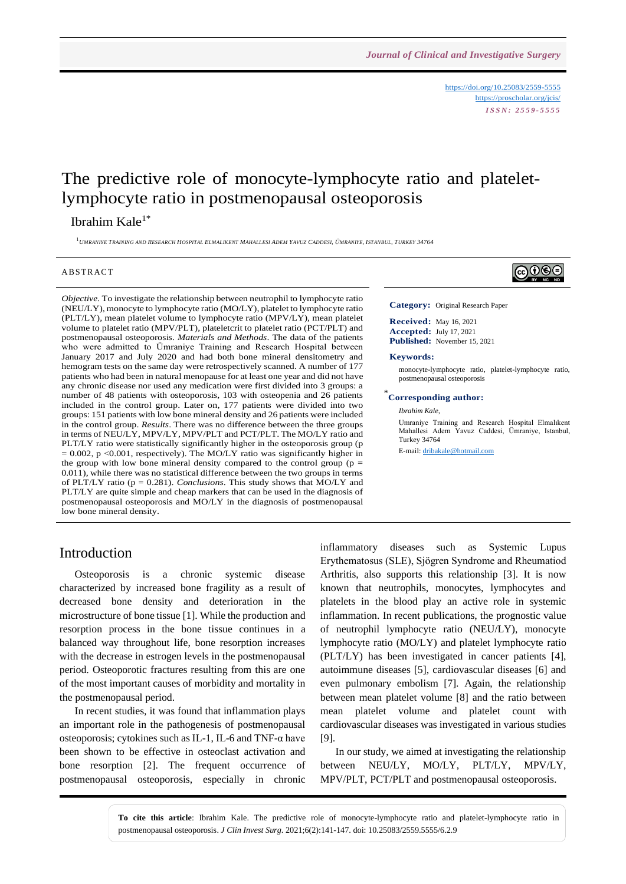<https://doi.org/10.25083/2559-5555> <https://proscholar.org/jcis/> *I S S N : 2 5 5 9 - 5 5 5 5*

# The predictive role of monocyte-lymphocyte ratio and plateletlymphocyte ratio in postmenopausal osteoporosis

### Ibrahim Kale $1^*$

 $^1$ UMRANIYE TRAINING AND RESEARCH HOSPITAL ELMALIKENT MAHALLESI ADEM YAVUZ CADDESI, ÜMRANIYE, ISTANBUL, TURKEY 34764

#### **ABSTRACT**

*Objective.* To investigate the relationship between neutrophil to lymphocyte ratio (NEU/LY), monocyte to lymphocyte ratio (MO/LY), platelet to lymphocyte ratio (PLT/LY), mean platelet volume to lymphocyte ratio (MPV/LY), mean platelet volume to platelet ratio (MPV/PLT), plateletcrit to platelet ratio (PCT/PLT) and postmenopausal osteoporosis. *Materials and Methods*. The data of the patients who were admitted to Ümraniye Training and Research Hospital between January 2017 and July 2020 and had both bone mineral densitometry and hemogram tests on the same day were retrospectively scanned. A number of 177 patients who had been in natural menopause for at least one year and did not have any chronic disease nor used any medication were first divided into 3 groups: a number of 48 patients with osteoporosis, 103 with osteopenia and 26 patients included in the control group. Later on, 177 patients were divided into two groups: 151 patients with low bone mineral density and 26 patients were included in the control group. *Results*. There was no difference between the three groups in terms of NEU/LY, MPV/LY, MPV/PLT and PCT/PLT. The MO/LY ratio and PLT/LY ratio were statistically significantly higher in the osteoporosis group (p  $= 0.002$ , p <0.001, respectively). The MO/LY ratio was significantly higher in the group with low bone mineral density compared to the control group ( $p =$ 0.011), while there was no statistical difference between the two groups in terms of PLT/LY ratio (p = 0.281). *Conclusions*. This study shows that MO/LY and PLT/LY are quite simple and cheap markers that can be used in the diagnosis of postmenopausal osteoporosis and MO/LY in the diagnosis of postmenopausal low bone mineral density.



**Category:** Original Research Paper

**Received:** May 16, 2021 **Accepted:** July 17, 2021 **Published:** November 15, 2021

#### **Keywords:**

monocyte-lymphocyte ratio, platelet-lymphocyte ratio, postmenopausal osteoporosis

### \* **Corresponding author:**

*Ibrahim Kale,*

Umraniye Training and Research Hospital Elmalıkent Mahallesi Adem Yavuz Caddesi, Ümraniye, Istanbul, Turkey 34764

E-mail: [dribakale@hotmail.com](mailto:dribakale@hotmail.com)

#### Introduction

Osteoporosis is a chronic systemic disease characterized by increased bone fragility as a result of decreased bone density and deterioration in the microstructure of bone tissue [1]. While the production and resorption process in the bone tissue continues in a balanced way throughout life, bone resorption increases with the decrease in estrogen levels in the postmenopausal period. Osteoporotic fractures resulting from this are one of the most important causes of morbidity and mortality in the postmenopausal period.

In recent studies, it was found that inflammation plays an important role in the pathogenesis of postmenopausal osteoporosis; cytokines such as IL-1, IL-6 and TNF- $\alpha$  have been shown to be effective in osteoclast activation and bone resorption [2]. The frequent occurrence of postmenopausal osteoporosis, especially in chronic inflammatory diseases such as Systemic Lupus Erythematosus (SLE), Sjögren Syndrome and Rheumatiod Arthritis, also supports this relationship [3]. It is now known that neutrophils, monocytes, lymphocytes and platelets in the blood play an active role in systemic inflammation. In recent publications, the prognostic value of neutrophil lymphocyte ratio (NEU/LY), monocyte lymphocyte ratio (MO/LY) and platelet lymphocyte ratio (PLT/LY) has been investigated in cancer patients [4], autoimmune diseases [5], cardiovascular diseases [6] and even pulmonary embolism [7]. Again, the relationship between mean platelet volume [8] and the ratio between mean platelet volume and platelet count with cardiovascular diseases was investigated in various studies [9].

In our study, we aimed at investigating the relationship between NEU/LY, MO/LY, PLT/LY, MPV/LY, MPV/PLT, PCT/PLT and postmenopausal osteoporosis.

**To cite this article**: Ibrahim Kale. The predictive role of monocyte-lymphocyte ratio and platelet-lymphocyte ratio in postmenopausal osteoporosis. *J Clin Invest Surg*. 2021;6(2):141-147. doi: 10.25083/2559.5555/6.2.9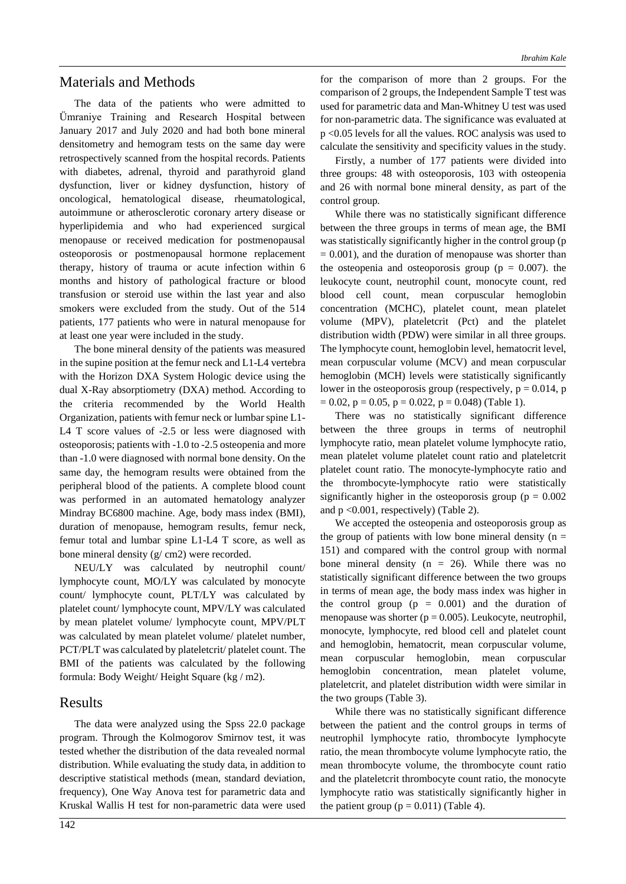#### Materials and Methods

The data of the patients who were admitted to Ümraniye Training and Research Hospital between January 2017 and July 2020 and had both bone mineral densitometry and hemogram tests on the same day were retrospectively scanned from the hospital records. Patients with diabetes, adrenal, thyroid and parathyroid gland dysfunction, liver or kidney dysfunction, history of oncological, hematological disease, rheumatological, autoimmune or atherosclerotic coronary artery disease or hyperlipidemia and who had experienced surgical menopause or received medication for postmenopausal osteoporosis or postmenopausal hormone replacement therapy, history of trauma or acute infection within 6 months and history of pathological fracture or blood transfusion or steroid use within the last year and also smokers were excluded from the study. Out of the 514 patients, 177 patients who were in natural menopause for at least one year were included in the study.

The bone mineral density of the patients was measured in the supine position at the femur neck and L1-L4 vertebra with the Horizon DXA System Hologic device using the dual X-Ray absorptiometry (DXA) method. According to the criteria recommended by the World Health Organization, patients with femur neck or lumbar spine L1- L4 T score values of -2.5 or less were diagnosed with osteoporosis; patients with -1.0 to -2.5 osteopenia and more than -1.0 were diagnosed with normal bone density. On the same day, the hemogram results were obtained from the peripheral blood of the patients. A complete blood count was performed in an automated hematology analyzer Mindray BC6800 machine. Age, body mass index (BMI), duration of menopause, hemogram results, femur neck, femur total and lumbar spine L1-L4 T score, as well as bone mineral density (g/ cm2) were recorded.

NEU/LY was calculated by neutrophil count/ lymphocyte count, MO/LY was calculated by monocyte count/ lymphocyte count, PLT/LY was calculated by platelet count/ lymphocyte count, MPV/LY was calculated by mean platelet volume/ lymphocyte count, MPV/PLT was calculated by mean platelet volume/ platelet number, PCT/PLT was calculated by plateletcrit/ platelet count. The BMI of the patients was calculated by the following formula: Body Weight/ Height Square (kg / m2).

#### Results

The data were analyzed using the Spss 22.0 package program. Through the Kolmogorov Smirnov test, it was tested whether the distribution of the data revealed normal distribution. While evaluating the study data, in addition to descriptive statistical methods (mean, standard deviation, frequency), One Way Anova test for parametric data and Kruskal Wallis H test for non-parametric data were used for the comparison of more than 2 groups. For the comparison of 2 groups, the Independent Sample T test was used for parametric data and Man-Whitney U test was used for non-parametric data. The significance was evaluated at p <0.05 levels for all the values. ROC analysis was used to calculate the sensitivity and specificity values in the study.

Firstly, a number of 177 patients were divided into three groups: 48 with osteoporosis, 103 with osteopenia and 26 with normal bone mineral density, as part of the control group.

While there was no statistically significant difference between the three groups in terms of mean age, the BMI was statistically significantly higher in the control group (p  $= 0.001$ ), and the duration of menopause was shorter than the osteopenia and osteoporosis group ( $p = 0.007$ ). the leukocyte count, neutrophil count, monocyte count, red blood cell count, mean corpuscular hemoglobin concentration (MCHC), platelet count, mean platelet volume (MPV), plateletcrit (Pct) and the platelet distribution width (PDW) were similar in all three groups. The lymphocyte count, hemoglobin level, hematocrit level, mean corpuscular volume (MCV) and mean corpuscular hemoglobin (MCH) levels were statistically significantly lower in the osteoporosis group (respectively,  $p = 0.014$ , p  $= 0.02$ ,  $p = 0.05$ ,  $p = 0.022$ ,  $p = 0.048$ ) (Table 1).

There was no statistically significant difference between the three groups in terms of neutrophil lymphocyte ratio, mean platelet volume lymphocyte ratio, mean platelet volume platelet count ratio and plateletcrit platelet count ratio. The monocyte-lymphocyte ratio and the thrombocyte-lymphocyte ratio were statistically significantly higher in the osteoporosis group ( $p = 0.002$ ) and p <0.001, respectively) (Table 2).

We accepted the osteopenia and osteoporosis group as the group of patients with low bone mineral density ( $n =$ 151) and compared with the control group with normal bone mineral density ( $n = 26$ ). While there was no statistically significant difference between the two groups in terms of mean age, the body mass index was higher in the control group  $(p = 0.001)$  and the duration of menopause was shorter ( $p = 0.005$ ). Leukocyte, neutrophil, monocyte, lymphocyte, red blood cell and platelet count and hemoglobin, hematocrit, mean corpuscular volume, mean corpuscular hemoglobin, mean corpuscular hemoglobin concentration, mean platelet volume, plateletcrit, and platelet distribution width were similar in the two groups (Table 3).

While there was no statistically significant difference between the patient and the control groups in terms of neutrophil lymphocyte ratio, thrombocyte lymphocyte ratio, the mean thrombocyte volume lymphocyte ratio, the mean thrombocyte volume, the thrombocyte count ratio and the plateletcrit thrombocyte count ratio, the monocyte lymphocyte ratio was statistically significantly higher in the patient group ( $p = 0.011$ ) (Table 4).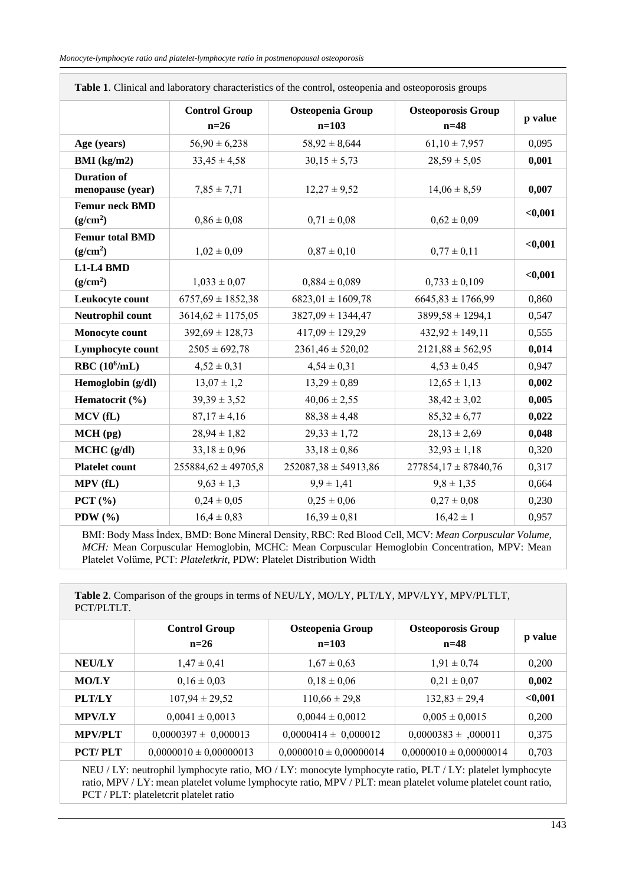| <b>Tuble 1.</b> Chinem and habitatory enarablements of the control, obteopenia and obteoporobic groups |                                |                                      |                                     |         |  |
|--------------------------------------------------------------------------------------------------------|--------------------------------|--------------------------------------|-------------------------------------|---------|--|
|                                                                                                        | <b>Control Group</b><br>$n=26$ | <b>Osteopenia Group</b><br>$n = 103$ | <b>Osteoporosis Group</b><br>$n=48$ | p value |  |
| Age (years)                                                                                            | $56,90 \pm 6,238$              | $58,92 \pm 8,644$                    | $61,10 \pm 7,957$                   | 0,095   |  |
| BMI (kg/m2)                                                                                            | $33,45 \pm 4,58$               | $30,15 \pm 5,73$                     | $28,59 \pm 5,05$                    | 0,001   |  |
| <b>Duration of</b><br>menopause (year)                                                                 | $7,85 \pm 7,71$                | $12,27 \pm 9,52$                     | $14,06 \pm 8,59$                    | 0,007   |  |
| <b>Femur neck BMD</b><br>(g/cm <sup>2</sup> )                                                          | $0.86 \pm 0.08$                | $0.71 \pm 0.08$                      | $0,62 \pm 0,09$                     | $0,001$ |  |
| <b>Femur total BMD</b><br>(g/cm <sup>2</sup> )                                                         | $1,02 \pm 0,09$                | $0.87 \pm 0.10$                      | $0,77 \pm 0,11$                     | $0,001$ |  |
| L1-L4 BMD<br>(g/cm <sup>2</sup> )                                                                      | $1,033 \pm 0,07$               | $0,884 \pm 0,089$                    | $0,733 \pm 0,109$                   | $0,001$ |  |
| Leukocyte count                                                                                        | $6757,69 \pm 1852,38$          | $6823,01 \pm 1609,78$                | $6645,83 \pm 1766,99$               | 0,860   |  |
| Neutrophil count                                                                                       | $3614,62 \pm 1175,05$          | $3827,09 \pm 1344,47$                | $3899,58 \pm 1294,1$                | 0,547   |  |
| Monocyte count                                                                                         | $392,69 \pm 128,73$            | $417,09 \pm 129,29$                  | $432,92 \pm 149,11$                 | 0,555   |  |
| Lymphocyte count                                                                                       | $2505 \pm 692,78$              | $2361,46 \pm 520,02$                 | $2121,88 \pm 562,95$                | 0,014   |  |
| RBC $(10^6/mL)$                                                                                        | $4,52 \pm 0,31$                | $4,54 \pm 0,31$                      | $4,53 \pm 0,45$                     | 0,947   |  |
| Hemoglobin (g/dl)                                                                                      | $13,07 \pm 1,2$                | $13,29 \pm 0.89$                     | $12,65 \pm 1,13$                    | 0,002   |  |
| Hematocrit (%)                                                                                         | $39,39 \pm 3,52$               | $40,06 \pm 2,55$                     | $38,42 \pm 3,02$                    | 0,005   |  |
| MCV(fL)                                                                                                | $87,17 \pm 4,16$               | $88,38 \pm 4,48$                     | $85,32 \pm 6,77$                    | 0,022   |  |
| $MCH$ (pg)                                                                                             | $28,94 \pm 1,82$               | $29,33 \pm 1,72$                     | $28,13 \pm 2,69$                    | 0,048   |  |
| $MCHC$ (g/dl)                                                                                          | $33,18 \pm 0.96$               | $33,18 \pm 0,86$                     | $32,93 \pm 1,18$                    | 0,320   |  |
| <b>Platelet count</b>                                                                                  | $255884,62 \pm 49705,8$        | $252087,38 \pm 54913,86$             | $277854,17 \pm 87840,76$            | 0,317   |  |
| MPV (fL)                                                                                               | $9,63 \pm 1,3$                 | $9.9 \pm 1.41$                       | $9,8 \pm 1,35$                      | 0,664   |  |
| PCT $(\% )$                                                                                            | $0,24 \pm 0,05$                | $0,25 \pm 0,06$                      | $0,27 \pm 0,08$                     | 0,230   |  |
| PDW $(%)$                                                                                              | $16,4 \pm 0.83$                | $16,39 \pm 0,81$                     | $16,42 \pm 1$                       | 0,957   |  |

**Table 1**. Clinical and laboratory characteristics of the control, osteopenia and osteoporosis groups

BMI: Body Mass İndex, BMD: Bone Mineral Density, RBC: Red Blood Cell, MCV: *Mean Corpuscular Volume, MCH:* Mean Corpuscular Hemoglobin, MCHC: Mean Corpuscular Hemoglobin Concentration, MPV: Mean Platelet Volüme, PCT: *Plateletkrit,* PDW: Platelet Distribution Width

**Table 2**. Comparison of the groups in terms of NEU/LY, MO/LY, PLT/LY, MPV/LYY, MPV/PLTLT, PCT/PLTLT.

|                | <b>Control Group</b><br>$n=26$ | Osteopenia Group<br>$n=103$ | <b>Osteoporosis Group</b><br>$n=48$ | p value |
|----------------|--------------------------------|-----------------------------|-------------------------------------|---------|
| <b>NEU/LY</b>  | $1.47 \pm 0.41$                | $1,67 \pm 0.63$             | $1,91 \pm 0.74$                     | 0,200   |
| <b>MO/LY</b>   | $0.16 \pm 0.03$                | $0.18 \pm 0.06$             | $0.21 \pm 0.07$                     | 0,002   |
| <b>PLT/LY</b>  | $107,94 \pm 29,52$             | $110,66 \pm 29,8$           | $132,83 \pm 29,4$                   | < 0,001 |
| <b>MPV/LY</b>  | $0,0041 \pm 0,0013$            | $0,0044 \pm 0,0012$         | $0,005 \pm 0,0015$                  | 0,200   |
| <b>MPV/PLT</b> | $0,0000397 \pm 0,000013$       | $0,0000414 \pm 0,000012$    | $0,0000383 \pm 0.00011$             | 0,375   |
| <b>PCT/PLT</b> | $0,0000010 \pm 0,00000013$     | $0,0000010 \pm 0,00000014$  | $0,0000010 \pm 0,00000014$          | 0.703   |

NEU / LY: neutrophil lymphocyte ratio, MO / LY: monocyte lymphocyte ratio, PLT / LY: platelet lymphocyte ratio, MPV / LY: mean platelet volume lymphocyte ratio, MPV / PLT: mean platelet volume platelet count ratio, PCT / PLT: plateletcrit platelet ratio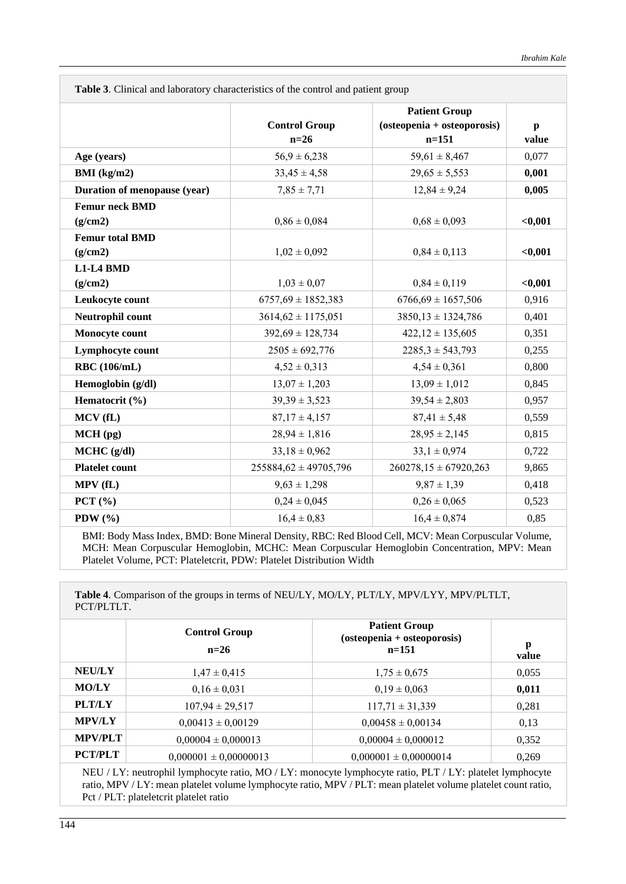| <b>Table 5.</b> Chilical and faboratory characteristics of the control and patient group |                               |              |  |  |  |
|------------------------------------------------------------------------------------------|-------------------------------|--------------|--|--|--|
|                                                                                          | <b>Patient Group</b>          |              |  |  |  |
| <b>Control Group</b>                                                                     | $(osteopenia + osteoporosis)$ | $\mathbf{p}$ |  |  |  |
|                                                                                          |                               | value        |  |  |  |
| $56.9 \pm 6.238$                                                                         | $59,61 \pm 8,467$             | 0,077        |  |  |  |
| $33,45 \pm 4,58$                                                                         | $29,65 \pm 5,553$             | 0,001        |  |  |  |
| $7,85 \pm 7,71$                                                                          | $12,84 \pm 9,24$              | 0,005        |  |  |  |
|                                                                                          |                               |              |  |  |  |
| $0.86 \pm 0.084$                                                                         | $0.68 \pm 0.093$              | < 0,001      |  |  |  |
|                                                                                          |                               |              |  |  |  |
| $1,02 \pm 0,092$                                                                         | $0,84 \pm 0,113$              | $0,001$      |  |  |  |
|                                                                                          |                               |              |  |  |  |
| $1,03 \pm 0,07$                                                                          | $0,84 \pm 0,119$              | $0,001$      |  |  |  |
| $6757,69 \pm 1852,383$                                                                   | $6766,69 \pm 1657,506$        | 0,916        |  |  |  |
| $3614,62 \pm 1175,051$                                                                   | $3850,13 \pm 1324,786$        | 0,401        |  |  |  |
| $392,69 \pm 128,734$                                                                     | $422,12 \pm 135,605$          | 0,351        |  |  |  |
| $2505 \pm 692,776$                                                                       | $2285,3 \pm 543,793$          | 0,255        |  |  |  |
| $4,52 \pm 0,313$                                                                         | $4,54 \pm 0,361$              | 0,800        |  |  |  |
| $13,07 \pm 1,203$                                                                        | $13,09 \pm 1,012$             | 0,845        |  |  |  |
| $39,39 \pm 3,523$                                                                        | $39,54 \pm 2,803$             | 0,957        |  |  |  |
| $87,17 \pm 4,157$                                                                        | $87,41 \pm 5,48$              | 0,559        |  |  |  |
| $28,94 \pm 1,816$                                                                        | $28,95 \pm 2,145$             | 0,815        |  |  |  |
| $33,18 \pm 0,962$                                                                        | $33,1 \pm 0.974$              | 0,722        |  |  |  |
| $255884,62 \pm 49705,796$                                                                | $260278,15 \pm 67920,263$     | 9,865        |  |  |  |
| $9,63 \pm 1,298$                                                                         | $9,87 \pm 1,39$               | 0,418        |  |  |  |
| $0,24 \pm 0,045$                                                                         | $0,26 \pm 0,065$              | 0,523        |  |  |  |
| $16,4 \pm 0.83$                                                                          | $16.4 \pm 0.874$              | 0,85         |  |  |  |
|                                                                                          | $n=26$                        | $n=151$      |  |  |  |

**Table 3.** Clinical and laboratory characteristics of the control and patient group

BMI: Body Mass Index, BMD: Bone Mineral Density, RBC: Red Blood Cell, MCV: Mean Corpuscular Volume, MCH: Mean Corpuscular Hemoglobin, MCHC: Mean Corpuscular Hemoglobin Concentration, MPV: Mean Platelet Volume, PCT: Plateletcrit, PDW: Platelet Distribution Width

**Table 4**. Comparison of the groups in terms of NEU/LY, MO/LY, PLT/LY, MPV/LYY, MPV/PLTLT, PCT/PLTLT.

|                | <b>Control Group</b><br>$n=26$ | <b>Patient Group</b><br>$(osteopenia + osteoporosis)$<br>$n=151$ | p<br>value |
|----------------|--------------------------------|------------------------------------------------------------------|------------|
| <b>NEU/LY</b>  | $1,47 \pm 0,415$               | $1,75 \pm 0,675$                                                 | 0.055      |
| <b>MO/LY</b>   | $0.16 \pm 0.031$               | $0.19 \pm 0.063$                                                 | 0,011      |
| <b>PLT/LY</b>  | $107,94 \pm 29,517$            | $117,71 \pm 31,339$                                              | 0,281      |
| <b>MPV/LY</b>  | $0,00413 \pm 0,00129$          | $0,00458 \pm 0,00134$                                            | 0,13       |
| <b>MPV/PLT</b> | $0,00004 \pm 0,000013$         | $0,00004 \pm 0,000012$                                           | 0,352      |
| <b>PCT/PLT</b> | $0,000001 \pm 0,00000013$      | $0,000001 \pm 0,00000014$                                        | 0.269      |

NEU / LY: neutrophil lymphocyte ratio, MO / LY: monocyte lymphocyte ratio, PLT / LY: platelet lymphocyte ratio, MPV / LY: mean platelet volume lymphocyte ratio, MPV / PLT: mean platelet volume platelet count ratio, Pct / PLT: plateletcrit platelet ratio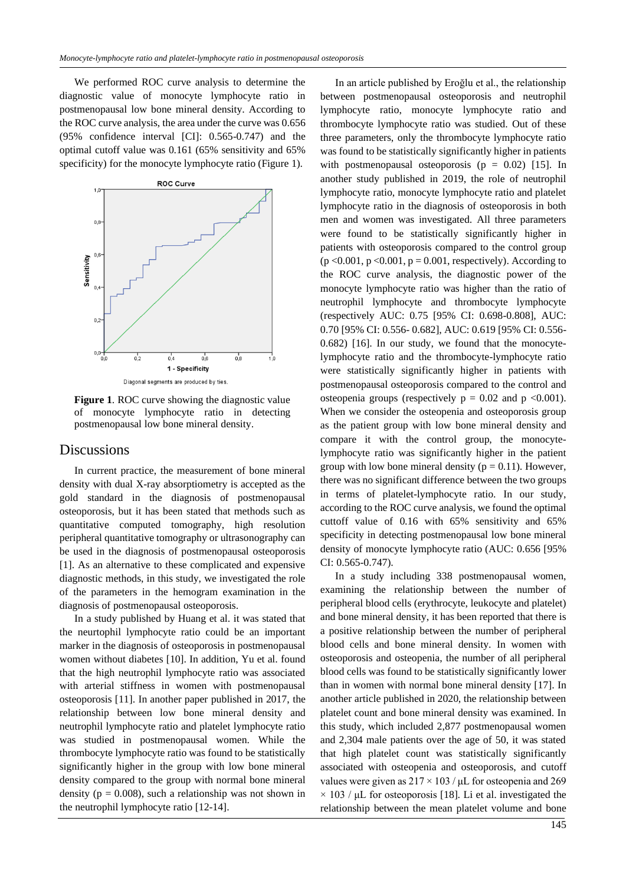We performed ROC curve analysis to determine the diagnostic value of monocyte lymphocyte ratio in postmenopausal low bone mineral density. According to the ROC curve analysis, the area under the curve was 0.656 (95% confidence interval [CI]: 0.565-0.747) and the optimal cutoff value was 0.161 (65% sensitivity and 65% specificity) for the monocyte lymphocyte ratio (Figure 1).



**Figure 1**. ROC curve showing the diagnostic value of monocyte lymphocyte ratio in detecting postmenopausal low bone mineral density.

#### **Discussions**

In current practice, the measurement of bone mineral density with dual X-ray absorptiometry is accepted as the gold standard in the diagnosis of postmenopausal osteoporosis, but it has been stated that methods such as quantitative computed tomography, high resolution peripheral quantitative tomography or ultrasonography can be used in the diagnosis of postmenopausal osteoporosis [1]. As an alternative to these complicated and expensive diagnostic methods, in this study, we investigated the role of the parameters in the hemogram examination in the diagnosis of postmenopausal osteoporosis.

In a study published by Huang et al. it was stated that the neurtophil lymphocyte ratio could be an important marker in the diagnosis of osteoporosis in postmenopausal women without diabetes [10]. In addition, Yu et al. found that the high neutrophil lymphocyte ratio was associated with arterial stiffness in women with postmenopausal osteoporosis [11]. In another paper published in 2017, the relationship between low bone mineral density and neutrophil lymphocyte ratio and platelet lymphocyte ratio was studied in postmenopausal women. While the thrombocyte lymphocyte ratio was found to be statistically significantly higher in the group with low bone mineral density compared to the group with normal bone mineral density ( $p = 0.008$ ), such a relationship was not shown in the neutrophil lymphocyte ratio [12-14].

In an article published by Eroğlu et al., the relationship between postmenopausal osteoporosis and neutrophil lymphocyte ratio, monocyte lymphocyte ratio and thrombocyte lymphocyte ratio was studied. Out of these three parameters, only the thrombocyte lymphocyte ratio was found to be statistically significantly higher in patients with postmenopausal osteoporosis ( $p = 0.02$ ) [15]. In another study published in 2019, the role of neutrophil lymphocyte ratio, monocyte lymphocyte ratio and platelet lymphocyte ratio in the diagnosis of osteoporosis in both men and women was investigated. All three parameters were found to be statistically significantly higher in patients with osteoporosis compared to the control group  $(p \le 0.001, p \le 0.001, p = 0.001, respectively)$ . According to the ROC curve analysis, the diagnostic power of the monocyte lymphocyte ratio was higher than the ratio of neutrophil lymphocyte and thrombocyte lymphocyte (respectively AUC: 0.75 [95% CI: 0.698-0.808], AUC: 0.70 [95% CI: 0.556- 0.682], AUC: 0.619 [95% CI: 0.556- 0.682) [16]. In our study, we found that the monocytelymphocyte ratio and the thrombocyte-lymphocyte ratio were statistically significantly higher in patients with postmenopausal osteoporosis compared to the control and osteopenia groups (respectively  $p = 0.02$  and  $p \le 0.001$ ). When we consider the osteopenia and osteoporosis group as the patient group with low bone mineral density and compare it with the control group, the monocytelymphocyte ratio was significantly higher in the patient group with low bone mineral density ( $p = 0.11$ ). However, there was no significant difference between the two groups in terms of platelet-lymphocyte ratio. In our study, according to the ROC curve analysis, we found the optimal cuttoff value of 0.16 with 65% sensitivity and 65% specificity in detecting postmenopausal low bone mineral density of monocyte lymphocyte ratio (AUC: 0.656 [95% CI: 0.565-0.747).

In a study including 338 postmenopausal women, examining the relationship between the number of peripheral blood cells (erythrocyte, leukocyte and platelet) and bone mineral density, it has been reported that there is a positive relationship between the number of peripheral blood cells and bone mineral density. In women with osteoporosis and osteopenia, the number of all peripheral blood cells was found to be statistically significantly lower than in women with normal bone mineral density [17]. In another article published in 2020, the relationship between platelet count and bone mineral density was examined. In this study, which included 2,877 postmenopausal women and 2,304 male patients over the age of 50, it was stated that high platelet count was statistically significantly associated with osteopenia and osteoporosis, and cutoff values were given as  $217 \times 103$  /  $\mu$ L for osteopenia and 269  $\times$  103 /  $\mu$ L for osteoporosis [18]. Li et al. investigated the relationship between the mean platelet volume and bone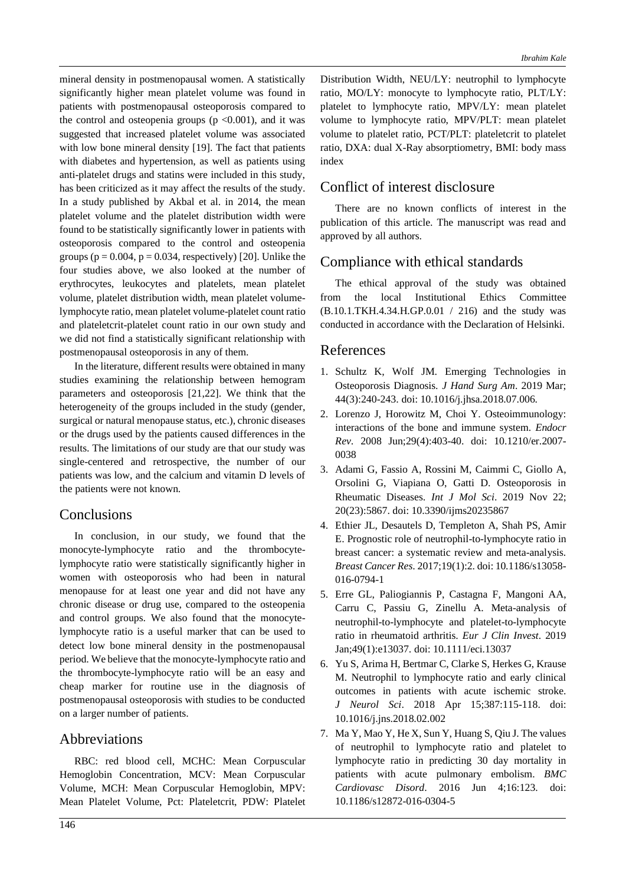mineral density in postmenopausal women. A statistically significantly higher mean platelet volume was found in patients with postmenopausal osteoporosis compared to the control and osteopenia groups  $(p \le 0.001)$ , and it was suggested that increased platelet volume was associated with low bone mineral density [19]. The fact that patients with diabetes and hypertension, as well as patients using anti-platelet drugs and statins were included in this study, has been criticized as it may affect the results of the study. In a study published by Akbal et al. in 2014, the mean platelet volume and the platelet distribution width were found to be statistically significantly lower in patients with osteoporosis compared to the control and osteopenia groups ( $p = 0.004$ ,  $p = 0.034$ , respectively) [20]. Unlike the four studies above, we also looked at the number of erythrocytes, leukocytes and platelets, mean platelet volume, platelet distribution width, mean platelet volumelymphocyte ratio, mean platelet volume-platelet count ratio and plateletcrit-platelet count ratio in our own study and we did not find a statistically significant relationship with postmenopausal osteoporosis in any of them.

In the literature, different results were obtained in many studies examining the relationship between hemogram parameters and osteoporosis [21,22]. We think that the heterogeneity of the groups included in the study (gender, surgical or natural menopause status, etc.), chronic diseases or the drugs used by the patients caused differences in the results. The limitations of our study are that our study was single-centered and retrospective, the number of our patients was low, and the calcium and vitamin D levels of the patients were not known.

### Conclusions

In conclusion, in our study, we found that the monocyte-lymphocyte ratio and the thrombocytelymphocyte ratio were statistically significantly higher in women with osteoporosis who had been in natural menopause for at least one year and did not have any chronic disease or drug use, compared to the osteopenia and control groups. We also found that the monocytelymphocyte ratio is a useful marker that can be used to detect low bone mineral density in the postmenopausal period. We believe that the monocyte-lymphocyte ratio and the thrombocyte-lymphocyte ratio will be an easy and cheap marker for routine use in the diagnosis of postmenopausal osteoporosis with studies to be conducted on a larger number of patients.

### Abbreviations

RBC: red blood cell, MCHC: Mean Corpuscular Hemoglobin Concentration, MCV: Mean Corpuscular Volume, MCH: Mean Corpuscular Hemoglobin, MPV: Mean Platelet Volume, Pct: Plateletcrit, PDW: Platelet Distribution Width, NEU/LY: neutrophil to lymphocyte ratio, MO/LY: monocyte to lymphocyte ratio, PLT/LY: platelet to lymphocyte ratio, MPV/LY: mean platelet volume to lymphocyte ratio, MPV/PLT: mean platelet volume to platelet ratio, PCT/PLT: plateletcrit to platelet ratio, DXA: dual X-Ray absorptiometry, BMI: body mass index

## Conflict of interest disclosure

There are no known conflicts of interest in the publication of this article. The manuscript was read and approved by all authors.

### Compliance with ethical standards

The ethical approval of the study was obtained from the local Institutional Ethics Committee (B.10.1.TKH.4.34.H.GP.0.01 / 216) and the study was conducted in accordance with the Declaration of Helsinki.

### References

- 1. Schultz K, Wolf JM. Emerging Technologies in Osteoporosis Diagnosis. *J Hand Surg Am*. 2019 Mar; 44(3):240-243. doi: 10.1016/j.jhsa.2018.07.006.
- 2. Lorenzo J, Horowitz M, Choi Y. Osteoimmunology: interactions of the bone and immune system. *Endocr Rev*. 2008 Jun;29(4):403-40. doi: 10.1210/er.2007- 0038
- 3. Adami G, Fassio A, Rossini M, Caimmi C, Giollo A, Orsolini G, Viapiana O, Gatti D. Osteoporosis in Rheumatic Diseases. *Int J Mol Sci*. 2019 Nov 22; 20(23):5867. doi: 10.3390/ijms20235867
- 4. Ethier JL, Desautels D, Templeton A, Shah PS, Amir E. Prognostic role of neutrophil-to-lymphocyte ratio in breast cancer: a systematic review and meta-analysis. *Breast Cancer Res*. 2017;19(1):2. doi: 10.1186/s13058- 016-0794-1
- 5. Erre GL, Paliogiannis P, Castagna F, Mangoni AA, Carru C, Passiu G, Zinellu A. Meta-analysis of neutrophil-to-lymphocyte and platelet-to-lymphocyte ratio in rheumatoid arthritis. *Eur J Clin Invest*. 2019 Jan;49(1):e13037. doi: 10.1111/eci.13037
- 6. Yu S, Arima H, Bertmar C, Clarke S, Herkes G, Krause M. Neutrophil to lymphocyte ratio and early clinical outcomes in patients with acute ischemic stroke. *J Neurol Sci*. 2018 Apr 15;387:115-118. doi: 10.1016/j.jns.2018.02.002
- 7. Ma Y, Mao Y, He X, Sun Y, Huang S, Qiu J. The values of neutrophil to lymphocyte ratio and platelet to lymphocyte ratio in predicting 30 day mortality in patients with acute pulmonary embolism. *BMC Cardiovasc Disord*. 2016 Jun 4;16:123. doi: 10.1186/s12872-016-0304-5